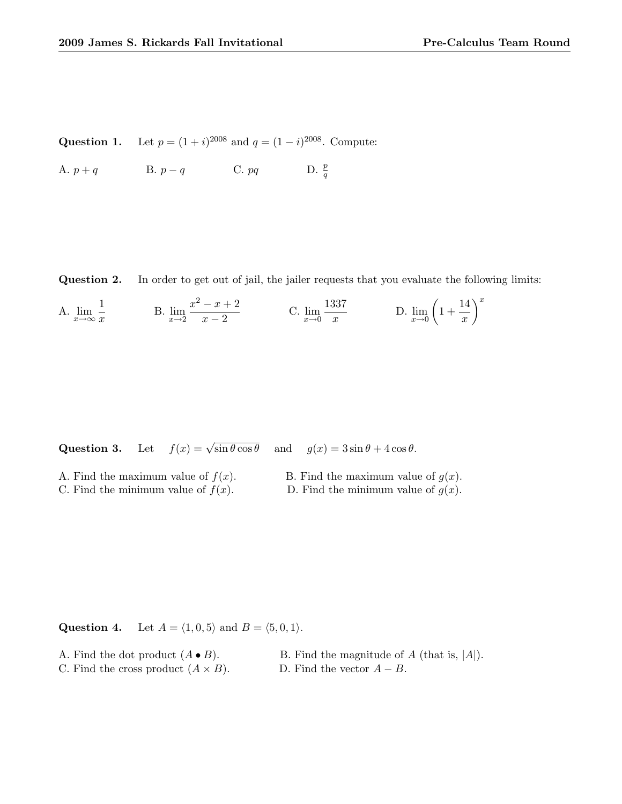Question 1. Let  $p = (1 + i)^{2008}$  and  $q = (1 - i)^{2008}$ . Compute:

A.  $p + q$  B.  $p - q$  C. pq D.  $\frac{p}{q}$ 

Question 2. In order to get out of jail, the jailer requests that you evaluate the following limits:

A. 
$$
\lim_{x \to \infty} \frac{1}{x}
$$
 \t B.  $\lim_{x \to 2} \frac{x^2 - x + 2}{x - 2}$  \t C.  $\lim_{x \to 0} \frac{1337}{x}$  \t D.  $\lim_{x \to 0} \left(1 + \frac{14}{x}\right)^x$ 

Question 3. Let  $f(x) = \sqrt{\sin \theta \cos \theta}$  and  $g(x) = 3 \sin \theta + 4 \cos \theta$ .

| A. Find the maximum value of $f(x)$ . | B. Find the maximum value of $g(x)$ . |
|---------------------------------------|---------------------------------------|
| C. Find the minimum value of $f(x)$ . | D. Find the minimum value of $g(x)$ . |

**Question 4.** Let  $A = \langle 1, 0, 5 \rangle$  and  $B = \langle 5, 0, 1 \rangle$ .

A. Find the dot product  $(A \bullet B)$ . B. Find the magnitude of A (that is, |A|). C. Find the cross product  $(A \times B)$ . D. Find the vector  $A - B$ .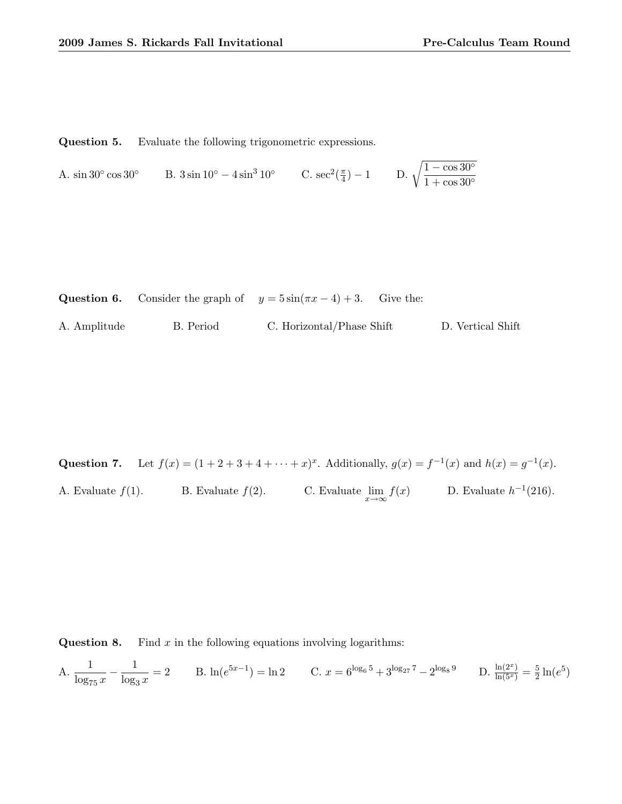Question 5. Evaluate the following trigonometric expressions.

```
A. \sin 30^\circ \cos 30^\circcos 30° B. 3\sin 10^{\circ} - 4\sin^3 10^{\circ} C. sec<sup>2</sup>(\frac{\pi}{4})\left(\frac{\pi}{4}\right) - 1 D. \sqrt{\frac{1 - \cos 30^{\circ}}{1 + \cos 30^{\circ}}}1 + \cos 30^{\circ}
```

|              |           | <b>Question 6.</b> Consider the graph of $y = 5\sin(\pi x - 4) + 3$ . Give the: |                   |
|--------------|-----------|---------------------------------------------------------------------------------|-------------------|
| A. Amplitude | B. Period | C. Horizontal/Phase Shift                                                       | D. Vertical Shift |

Question 7. Let  $f(x) = (1 + 2 + 3 + 4 + \cdots + x)^x$ . Additionally,  $g(x) = f^{-1}(x)$  and  $h(x) = g^{-1}(x)$ . A. Evaluate  $f(1)$ . B. Evaluate  $f(2)$ . C. Evaluate  $\lim_{x \to \infty} f(x)$  D. Evaluate  $h^{-1}(216)$ .

**Question 8.** Find  $x$  in the following equations involving logarithms:

A. 
$$
\frac{1}{\log_{75} x} - \frac{1}{\log_3 x} = 2
$$
 B.  $\ln(e^{5x-1}) = \ln 2$  C.  $x = 6^{\log_6 5} + 3^{\log_{27} 7} - 2^{\log_8 9}$  D.  $\frac{\ln(2^x)}{\ln(5^x)} = \frac{5}{2} \ln(e^5)$